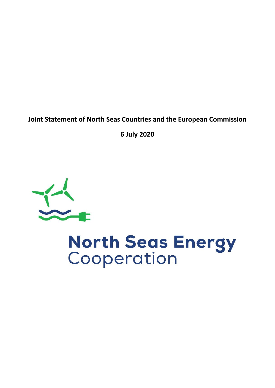**Joint Statement of North Seas Countries and the European Commission**

**6 July 2020**



# **North Seas Energy**<br>Cooperation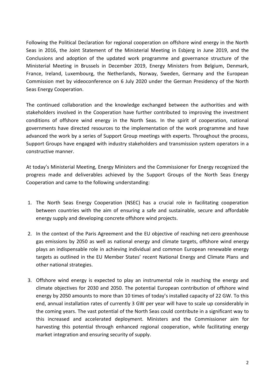Following the Political Declaration for regional cooperation on offshore wind energy in the North Seas in 2016, the Joint Statement of the Ministerial Meeting in Esbjerg in June 2019, and the Conclusions and adoption of the updated work programme and governance structure of the Ministerial Meeting in Brussels in December 2019, Energy Ministers from Belgium, Denmark, France, Ireland, Luxembourg, the Netherlands, Norway, Sweden, Germany and the European Commission met by videoconference on 6 July 2020 under the German Presidency of the North Seas Energy Cooperation.

The continued collaboration and the knowledge exchanged between the authorities and with stakeholders involved in the Cooperation have further contributed to improving the investment conditions of offshore wind energy in the North Seas. In the spirit of cooperation, national governments have directed resources to the implementation of the work programme and have advanced the work by a series of Support Group meetings with experts. Throughout the process, Support Groups have engaged with industry stakeholders and transmission system operators in a constructive manner.

At today's Ministerial Meeting, Energy Ministers and the Commissioner for Energy recognized the progress made and deliverables achieved by the Support Groups of the North Seas Energy Cooperation and came to the following understanding:

- 1. The North Seas Energy Cooperation (NSEC) has a crucial role in facilitating cooperation between countries with the aim of ensuring a safe and sustainable, secure and affordable energy supply and developing concrete offshore wind projects.
- 2. In the context of the Paris Agreement and the EU objective of reaching net-zero greenhouse gas emissions by 2050 as well as national energy and climate targets, offshore wind energy plays an indispensable role in achieving individual and common European renewable energy targets as outlined in the EU Member States' recent National Energy and Climate Plans and other national strategies.
- 3. Offshore wind energy is expected to play an instrumental role in reaching the energy and climate objectives for 2030 and 2050. The potential European contribution of offshore wind energy by 2050 amounts to more than 10 times of today's installed capacity of 22 GW. To this end, annual installation rates of currently 3 GW per year will have to scale up considerably in the coming years. The vast potential of the North Seas could contribute in a significant way to this increased and accelerated deployment. Ministers and the Commissioner aim for harvesting this potential through enhanced regional cooperation, while facilitating energy market integration and ensuring security of supply.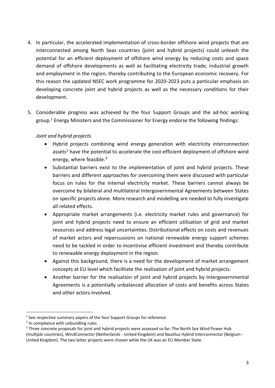- 4. In particular, the accelerated implementation of cross-border offshore wind projects that are interconnected among North Seas countries (joint and hybrid projects) could unleash the potential for an efficient deployment of offshore wind energy by reducing costs and space demand of offshore developments as well as facilitating electricity trade, industrial growth and employment in the region, thereby contributing to the European economic recovery. For this reason the updated NSEC work programme for 2020-2023 puts a particular emphasis on developing concrete joint and hybrid projects as well as the necessary conditions for their development.
- 5. Considerable progress was achieved by the four Support Groups and the ad-hoc working group.<sup>1</sup> Energy Ministers and the Commissioner for Energy endorse the following findings:

# *Joint and hybrid projects*

- Hybrid projects combining wind energy generation with electricity interconnection assets<sup>2</sup> have the potential to accelerate the cost-efficient deployment of offshore wind energy, where feasible. 3
- Substantial barriers exist to the implementation of joint and hybrid projects. These barriers and different approaches for overcoming them were discussed with particular focus on rules for the internal electricity market. These barriers cannot always be overcome by bilateral and multilateral Intergovernmental Agreements between States on specific projects alone. More research and modelling are needed to fully investigate all related effects.
- Appropriate market arrangements (i.e. electricity market rules and governance) for joint and hybrid projects need to ensure an efficient utilisation of grid and market resources and address legal uncertainties. Distributional effects on costs and revenues of market actors and repercussions on national renewable energy support schemes need to be tackled in order to incentivise efficient investment and thereby contribute to renewable energy deployment in the region.
- Against this background, there is a need for the development of market arrangement concepts at EU level which facilitate the realisation of joint and hybrid projects.
- Another barrier for the realisation of joint and hybrid projects by Intergovernmental Agreements is a potentially unbalanced allocation of costs and benefits across States and other actors involved.

<sup>1</sup>  $<sup>1</sup>$  See respective summary papers of the four Support Groups for reference.</sup>

<sup>&</sup>lt;sup>2</sup> In compliance with unbundling rules.

<sup>&</sup>lt;sup>3</sup> Three concrete proposals for joint and hybrid projects were assessed so far: The North Sea Wind Power Hub (multiple countries), WindConnector (Netherlands - United Kingdom) and Nautilus Hybrid Interconnector (Belgium - United Kingdom). The two latter projects were chosen while the UK was an EU Member State.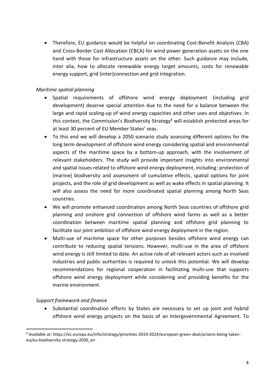Therefore, EU guidance would be helpful on coordinating Cost-Benefit Analysis (CBA) and Cross-Border Cost Allocation (CBCA) for wind power generation assets on the one hand with those for infrastructure assets on the other. Such guidance may include, inter alia, how to allocate renewable energy target amounts, costs for renewable energy support, grid (inter)connection and grid integration.

### *Maritime spatial planning*

- Spatial requirements of offshore wind energy deployment (including grid development) deserve special attention due to the need for a balance between the large and rapid scaling-up of wind energy capacities and other uses and objectives. In this context, the Commission's Biodiversity Strategy<sup>4</sup> will establish protected areas for at least 30 percent of EU Member States' seas.
- To this end we will develop a 2050 scenario study assessing different options for the long term development of offshore wind energy considering spatial and environmental aspects of the maritime space by a bottom-up approach, with the involvement of relevant stakeholders. The study will provide important insights into environmental and spatial issues related to offshore wind energy deployment, including: protection of (marine) biodiversity and assessment of cumulative effects, spatial options for joint projects, and the role of grid development as well as wake effects in spatial planning. It will also assess the need for more coordinated spatial planning among North Seas countries.
- We will promote enhanced coordination among North Seas countries of offshore grid planning and onshore grid connection of offshore wind farms as well as a better coordination between maritime spatial planning and offshore grid planning to facilitate our joint ambition of offshore wind energy deployment in the region.
- Multi-use of maritime space for other purposes besides offshore wind energy can contribute to reducing spatial tensions. However, multi-use in the area of offshore wind energy is still limited to date. An active role of all relevant actors such as involved industries and public authorities is required to unlock this potential. We will develop recommendations for regional cooperation in facilitating multi-use that supports offshore wind energy deployment while considering and providing benefits for the marine environment.

#### *Support framework and finance*

• Substantial coordination efforts by States are necessary to set up joint and hybrid offshore wind energy projects on the basis of an Intergovernmental Agreement. To

<sup>1</sup> <sup>4</sup> Available at: https://ec.europa.eu/info/strategy/priorities-2019-2024/european-green-deal/actions-being-takeneu/eu-biodiversity-strategy-2030\_en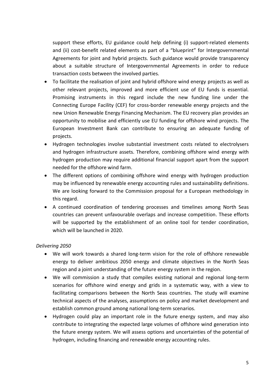support these efforts, EU guidance could help defining (i) support-related elements and (ii) cost-benefit related elements as part of a "blueprint" for Intergovernmental Agreements for joint and hybrid projects. Such guidance would provide transparency about a suitable structure of Intergovernmental Agreements in order to reduce transaction costs between the involved parties.

- To facilitate the realisation of joint and hybrid offshore wind energy projects as well as other relevant projects, improved and more efficient use of EU funds is essential. Promising instruments in this regard include the new funding line under the Connecting Europe Facility (CEF) for cross-border renewable energy projects and the new Union Renewable Energy Financing Mechanism. The EU recovery plan provides an opportunity to mobilise and efficiently use EU funding for offshore wind projects. The European Investment Bank can contribute to ensuring an adequate funding of projects.
- Hydrogen technologies involve substantial investment costs related to electrolysers and hydrogen infrastructure assets. Therefore, combining offshore wind energy with hydrogen production may require additional financial support apart from the support needed for the offshore wind farm.
- The different options of combining offshore wind energy with hydrogen production may be influenced by renewable energy accounting rules and sustainability definitions. We are looking forward to the Commission proposal for a European methodology in this regard.
- A continued coordination of tendering processes and timelines among North Seas countries can prevent unfavourable overlaps and increase competition. These efforts will be supported by the establishment of an online tool for tender coordination, which will be launched in 2020.

#### *Delivering 2050*

- We will work towards a shared long-term vision for the role of offshore renewable energy to deliver ambitious 2050 energy and climate objectives in the North Seas region and a joint understanding of the future energy system in the region.
- We will commission a study that compiles existing national and regional long-term scenarios for offshore wind energy and grids in a systematic way, with a view to facilitating comparisons between the North Seas countries. The study will examine technical aspects of the analyses, assumptions on policy and market development and establish common ground among national long-term scenarios.
- Hydrogen could play an important role in the future energy system, and may also contribute to integrating the expected large volumes of offshore wind generation into the future energy system. We will assess options and uncertainties of the potential of hydrogen, including financing and renewable energy accounting rules.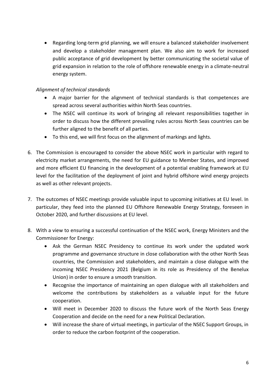Regarding long-term grid planning, we will ensure a balanced stakeholder involvement and develop a stakeholder management plan. We also aim to work for increased public acceptance of grid development by better communicating the societal value of grid expansion in relation to the role of offshore renewable energy in a climate-neutral energy system.

## *Alignment of technical standards*

- A major barrier for the alignment of technical standards is that competences are spread across several authorities within North Seas countries.
- The NSEC will continue its work of bringing all relevant responsibilities together in order to discuss how the different prevailing rules across North Seas countries can be further aligned to the benefit of all parties.
- To this end, we will first focus on the alignment of markings and lights.
- 6. The Commission is encouraged to consider the above NSEC work in particular with regard to electricity market arrangements, the need for EU guidance to Member States, and improved and more efficient EU financing in the development of a potential enabling framework at EU level for the facilitation of the deployment of joint and hybrid offshore wind energy projects as well as other relevant projects.
- 7. The outcomes of NSEC meetings provide valuable input to upcoming initiatives at EU level. In particular, they feed into the planned EU Offshore Renewable Energy Strategy, foreseen in October 2020, and further discussions at EU level.
- 8. With a view to ensuring a successful continuation of the NSEC work, Energy Ministers and the Commissioner for Energy:
	- Ask the German NSEC Presidency to continue its work under the updated work programme and governance structure in close collaboration with the other North Seas countries, the Commission and stakeholders, and maintain a close dialogue with the incoming NSEC Presidency 2021 (Belgium in its role as Presidency of the Benelux Union) in order to ensure a smooth transition.
	- Recognise the importance of maintaining an open dialogue with all stakeholders and welcome the contributions by stakeholders as a valuable input for the future cooperation.
	- Will meet in December 2020 to discuss the future work of the North Seas Energy Cooperation and decide on the need for a new Political Declaration.
	- Will increase the share of virtual meetings, in particular of the NSEC Support Groups, in order to reduce the carbon footprint of the cooperation.